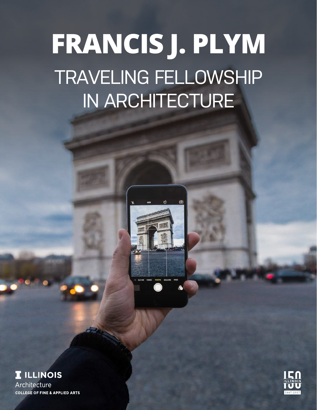# TRAVELING FELLOWSHIP IN ARCHITECTURE **FRANCIS J. PLYM**





**COLLEGE OF FINE & APPLIED ARTS** 

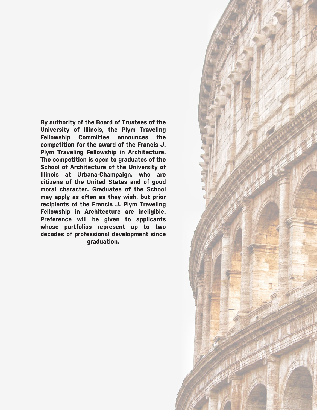**By authority of the Board of Trustees of the University of Illinois, the Plym Traveling Fellowship Committee announces the competition for the award of the Francis J. Plym Traveling Fellowship in Architecture. The competition is open to graduates of the School of Architecture of the University of Illinois at Urbana-Champaign, who are citizens of the United States and of good moral character. Graduates of the School may apply as often as they wish, but prior recipients of the Francis J. Plym Traveling Fellowship in Architecture are ineligible. Preference will be given to applicants whose portfolios represent up to two decades of professional development since graduation.**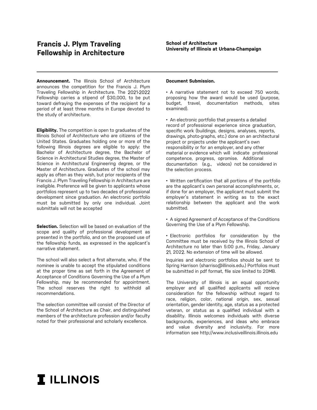**Announcement.** The Illinois School of Architecture announces the competition for the Francis J. Plym Traveling Fellowship in Architecture. The 2021-2022 Fellowship carries a stipend of \$30,000, to be put toward defraying the expenses of the recipient for a period of at least three months in Europe devoted to the study of architecture.

**Eligibility.** The competition is open to graduates of the Illinois School of Architecture who are citizens of the United States. Graduates holding one or more of the following Illinois degrees are eligible to apply: the Bachelor of Architecture degree, the Bachelor of Science in Architectural Studies degree, the Master of Science in Architectural Engineering degree, or the Master of Architecture. Graduates of the school may apply as often as they wish, but prior recipients of the Francis J. Plym Traveling Fellowship in Architecture are ineligible. Preference will be given to applicants whose portfolios represent up to two decades of professional development since graduation. An electronic portfolio must be submitted by only one individual. Joint submittals will not be accepted

**Selection.** Selection will be based on evaluation of the scope and quality of professional development as presented in the portfolio, and on the proposed use of the fellowship funds, as expressed in the applicant's narrative statement.

The school will also select a first alternate, who, if the nominee is unable to accept the stipulated conditions at the proper time as set forth in the Agreement of Acceptance of Conditions Governing the Use of a Plym Fellowship, may be recommended for appointment. The school reserves the right to withhold all recommendations.

The selection committee will consist of the Director of the School of Architecture as Chair, and distinguished members of the architecture profession and/or faculty noted for their professional and scholarly excellence.

#### **Document Submission.**

• A narrative statement not to exceed 750 words, proposing how the award would be used (purpose, budget, travel, documentation methods, sites examined).

• An electronic portfolio that presents a detailed record of professional experience since graduation, specific work (buildings, designs, analyses, reports, drawings, photo-graphs, etc.) done on an architectural project or projects under the applicant's own responsibility or for an employer, and any other material or evidence which will indicate professional competence, progress, opromise. Additional documentation (e.g., videos) not be considered in the selection process.

• Written certification that all portions of the portfolio are the applicant's own personal accomplishments, or, if done for an employer, the applicant must submit the employer's statement in writing as to the exact relationship between the applicant and the work submitted.

• A signed Agreement of Acceptance of the Conditions Governing the Use of a Plym Fellowship.

• Electronic portfolios for consideration by the Committee must be received by the Illinois School of Architecture no later than 5:00 p.m., Friday, January 21, 2022. No extension of time will be allowed.

Inquiries and electronic portfolios should be sent to Spring Harrison (sharriso@illinois.edu.) Portfolios must be submitted in pdf format, file size limited to 20MB.

The University of Illinois is an equal opportunity employer and all qualified applicants will recieve consideration for the fellowship without regard to race, religion, color, national origin, sex, sexual orientation, gender identity, age, status as a protected veteran, or status as a qualified individual with a disability. Illinois welcomes individuals with diverse backgrounds, experiences, and ideas who embrace and value diversity and inclusivity. For more information see http://www.inclusiveillinois.illinois.edu

## **I** ILLINOIS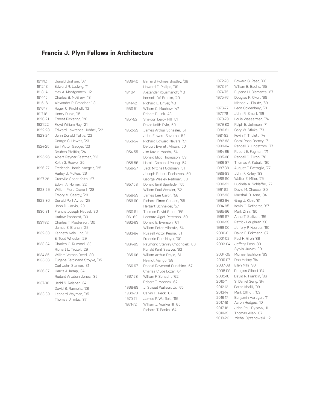### **Francis J. Plym Fellows in Architecture**

| 1911-12 | Donald Graham, '07            | 1939-40 | Bernard Holmes Bradley, '38    | 197  |
|---------|-------------------------------|---------|--------------------------------|------|
| 1912-13 | Edward R. Ludwig, '11         |         | Howard E. Phillips, '39        | 197  |
| 1913-14 | Max A. Montgomery, '12        | 1940-41 | Alexander Kouzmanoff, '40      | 1974 |
| 1914-15 | Charles B. McGrew, '13        |         | Kenneth W. Brooks, '40         | 197  |
| 1915-16 | Alexander R. Brandner, '13    | 1941-42 | Richard E. Driver, '40         |      |
| 1916-17 | Roger C. Kirchhoff, '13       | 1950-51 | William C. Muchow, '47         | 197  |
| 1917-18 | Henry Dubin, '15              |         | Robert P. Link, '48            | 197  |
| 1920-21 | Ernest Pickering, '20         | 1951-52 | Sheldon Leroy Hill, '51        | 197  |
| 1921-22 | Floyd William Ray, '21        |         | David Keith Pyle, '50          | 197  |
| 1922-23 | Edward Lawrence Hubbell, '22  | 1952-53 | James Arthur Scheeler, '51     | 198  |
| 1923-24 | John Donald Tuttle, '23       |         | John Edward Severns, '52       | 198  |
|         | George C. Hewes, '23          | 1953-54 | Richard Edward Nevara, '51     | 198  |
| 1924-25 | Earl Victor Gauger, '23       |         | Delburt Everett Allison, '50   | 198  |
|         | Reuben Pfeiffer, '24          | 1954-55 | Jim Kazuo Maeda, '54           | 198  |
| 1925-26 | Albert Reyner Eastman, '23    |         | Donald Eliot Thompson, '53     | 198  |
|         | Keith G. Reeve, '25           | 1955-56 | Harold Campbell Young, '54     | 198  |
| 1926-27 | Frederich Harold Naegele, '25 | 1956-57 | Jack Mitchell Goldman, '51     | 198  |
|         | Harley J. McKee, '26          |         | Joseph Robert Deshayes, '50    | 198  |
| 1927-28 | Granville Spear Keith, '27    |         | George Wesley Reihmer, '50     | 198  |
|         | Edwin A. Horner, '22          | 1957-58 | Donald Emil Sporleder, '55     | 199  |
| 1928-29 | William Piers Crane II, '28   |         | William Paul Wenzler, '52      | 199  |
|         | Emory M. Searcy, '28          | 1958-59 | James Lee Caron, '56           | 199  |
| 1929-30 | Donald Port Ayres, '29        | 1959-60 | Richard Elmer Carlson, '55     | 199  |
|         | John D. Jarvis, '29           |         | Herbert Schneider, '57         | 199  |
| 1930-31 | Francis Joseph Heusel, '30    | 1960-61 | Thomas David Green, '59        | 199  |
|         | Harlow Panhorst, '30          | 1961-62 | Leonard Algot Peterson, '59    | 199  |
| 1931-32 | Charles T. Masterson, '30     | 1962-63 | Donald E. Evenson, '61         | 199  |
|         | James E. Branch, '29          |         | William Peter Milbratz, '54    | 199  |
| 1932-33 | Kenneth Nels Lind, '31        | 1963-64 | Russell Victor Keune, '61      | 200  |
|         | E. Todd Wheeler, '29          |         | Frederic Derr Moyer, '60       | 20C  |
| 1933-34 | Charles G. Rummel, '33        | 1964-65 | Raymond Stanley Chocholek, '60 | 20C  |
|         | Richart L. Troxell, '29       |         | Ronald Kent Sawyer, '63        |      |
| 1934-35 | William Vernon Reed, '30      | 1965-66 | William Arthur Doyle, '61      | 200  |
| 1935-36 | Eugene Ferdinand Stoyke, '35  |         | Helmut Ajango, '58             | 200  |
|         | Carl John Sterner, '31        | 1966-67 | Donald Raymond Sunshine, '57   | 20C  |
| 1936-37 | Harris A. Kemp, '34           |         | Charles Clyde Lozar, '64       | 200  |
|         | Rudard Artaban Jones, '36     | 1967-68 | William F. Schacht, '62        | 20C  |
| 1937-38 | Jedd S. Reisner, '34          |         | Robert T. Mooney, '62          | 201  |
|         | David B. Runnells, '38        | 1968-69 | J. Stroud Watson, Jr., '65     | 201  |
| 1938-39 | Leonard Wayman, '35           | 1969-70 | Calvin H. Peck, '67            | 201  |
|         | Thomas J. Imbs, '37           | 1970-71 | James P. Warfield, '65         | 201  |
|         |                               | 1971-72 | William J. Voelker III, '65    | 201  |
|         |                               |         | Richard T. Banks, '64          | 201  |

1972-73 Edward G. Raap, '66 1973-74 William B. Bauhs, '65 1974-75 Eugene H. Clements, '67 1975-76 Douglas R. Okun, '69 Michael J. Plautz, '69 1976-77 Leon Goldenberg, '71 1977-78 John R. Smart, '69 1978-79 Louis Wasserman, '74 1979-80 Ralph E. Johnson, '71 1980-81 Gary W. Stluka, '73 1981-82 Kevin T. Triplett, '74 1982-83 Carol Ross Barney, '71 1983-84 Randall S. Lindstrom, '77 1984-85 Robert E. Fugman, '71 1985-86 Randall G. Dixon, '76 1986-87 Thomas A. Kubala, '80 1988 August F. Battaglia, '77 1988-89 John F. Kelley, '83 1989-90 Walter E. Miller, '79 1990-91 Lucinda A. Schlaffer, '77 1991-92 David M. Chasco, '80 1992-93 Marshall D. Arne, '84 1993-94 Greg J. Klein, '81 94-95 Kevin C. Rotheroe, '87 1995-96 Mark Zinni, '80 1996-97 Anne T. Sullivan, '86 1998-99 Patrick Loughran '90 1999-00 Jeffery P. Koerber, '90 00-01 David E. Eckmann '87 01-02 Paul H. Groh '89 03-04 Jeffery Poss '80 Sylvia Juzwa '99 04-05 Michael Eichhorn '93 06-07 Don McKay '84 07-08 Ellen Mills '90 08-09 Douglas Gilbert '94 09-10 David R. Franklin, '96 2010-11 S. Daniel Seng, '94 12-13 Parsa Khalili, '09 2013-14 Mark Olthoff, '03 16-17 Benjamin Hartigan, '11 17-18 Aeron Hodges, '10 2017-18 John Paul Rysavy, '11 2018-19 Thomas Allen, '07 2019-20 Michal Ojrzanowski, '12